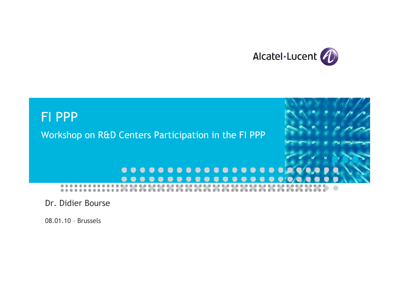



Dr. Didier Bourse

08.01.10 – Brussels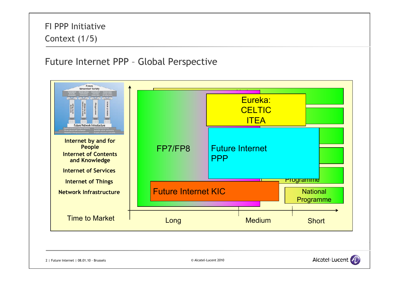# FI PPP InitiativeContext (1/5)

## Future Internet PPP – Global Perspective



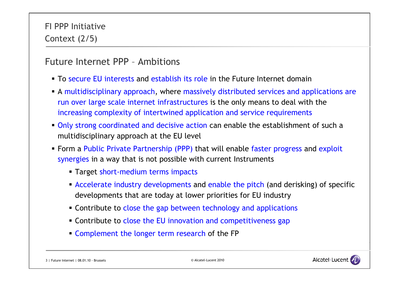## Future Internet PPP – Ambitions

- **To secure EU interests and establish its role in the Future Internet domain**
- A multidisciplinary approach, where massively distributed services and applications are run over large scale internet infrastructures is the only means to deal with the increasing complexity of intertwined application and service requirements
- **Only strong coordinated and decisive action can enable the establishment of such a** multidisciplinary approach at the EU level
- **Form a Public Private Partnership (PPP) that will enable faster progress and exploit** synergies in a way that is not possible with current Instruments
	- Target short-medium terms impacts
	- Accelerate industry developments and enable the pitch (and derisking) of specific developments that are today at lower priorities for EU industry
	- **EX Contribute to close the gap between technology and applications**
	- **Contribute to close the EU innovation and competitiveness gap**
	- **Complement the longer term research of the FP**

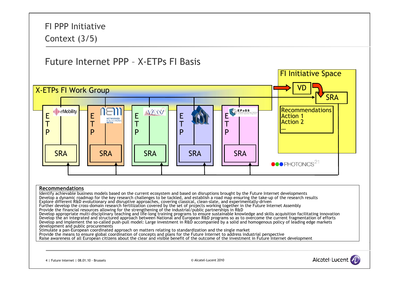FI PPP InitiativeContext (3/5) Future Internet PPP – X-ETPs FI BasisFI Initiative Space VDX-ETPs FI Work Group **SRA Recommendations** ((|)) eMobility **NESSI** EEEE E Action 1NETWORKED TAction 2T $\mathsf T$ T**MEDIA** TP $\mathbf{D}$  $\mathbf D$ P… $\mathbf D$ **SRA** SRA**SRA** SRA**SRA**  $\bullet \bullet \bullet$  PHOTONICS $^{21}$ 

#### **Recommendations**

Identify achievable business models based on the current ecosystem and based on disruptions brought by the Future Internet developments Develop a dynamic roadmap for the key research challenges to be tackled, and establish a road map ensuring the take-up of the research results Explore different R&D evolutionary and disruptive approaches, covering classical, clean-slate, and experimentally-driven Further develop the cross-domain research fertilization covered by the set of projects working together in the Future Internet Assembly Provide the financial resources allowing for the strengthening of the industrial/public partnerships in R&D Develop appropriate multi-disciplinary teaching and life-long training programs to ensure sustainable knowledge and skills acquisition facilitating innovation Develop the an integrated and structured approach between National and European R&D programs so as to overcome the current fragmentation of efforts Develop and implement the so-called push-pull model: Large investment in R&D accompanied by a solid and homogenous policy of leading edge markets development and public procurements Stimulate a pan-European coordinated approach on matters relating to standardization and the single market Provide the means to ensure global coordination of concepts and plans for the Future Internet to address industrial perspective Raise awareness of all European citizens about the clear and visible benefit of the outcome of the investment in Future Internet development

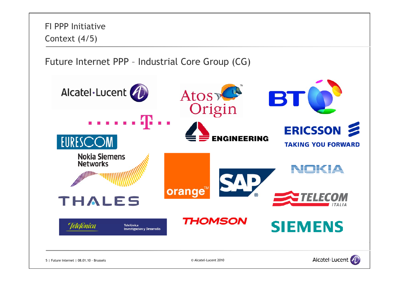

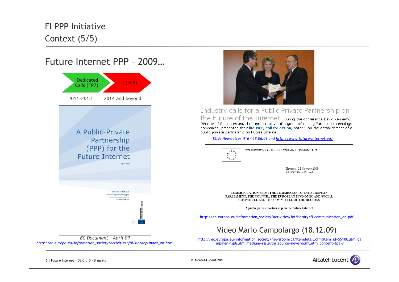## FI PPP InitiativeContext (5/5)

## Future Internet PPP – 2009…





#### Industry calls for a Public Private Partnership on

the Future of the Internet - During the conference David Kennedy, Director of Eurescom and the representative of a group of leading European technology companies, presented their industry call for action, notably on the establishment of a public private partnership on Future Internet.

*EC FI Newsletter N°6 – 18.06.09 and http://www.future-internet.eu/*



http://ec.europa.eu/information\_society/newsroom/cf/itemdetail.cfm?item\_id=5510&utm\_ca mpaign=isp&utm\_medium=rss&utm\_source=newsroom&utm\_content=tpa-7

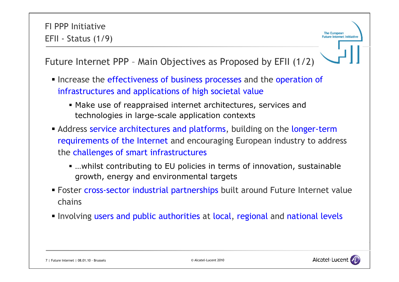The European **Future Internet Initiativ** 

Future Internet PPP – Main Objectives as Proposed by EFII (1/2)

- Increase the effectiveness of business processes and the operation of infrastructures and applications of high societal value
	- Make use of reappraised internet architectures, services and technologies in large-scale application contexts
- **Address service architectures and platforms, building on the longer-term** requirements of the Internet and encouraging European industry to address the challenges of smart infrastructures
	- …whilst contributing to EU policies in terms of innovation, sustainable growth, energy and environmental targets
- **Foster cross-sector industrial partnerships built around Future Internet value** chains
- **Involving users and public authorities at local, regional and national levels**

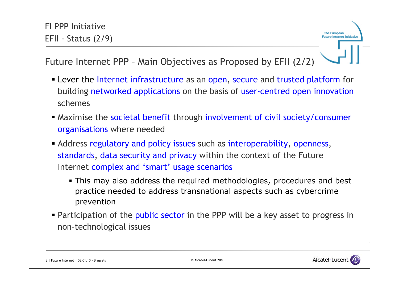The European **Future Internet Initiativ** 

# Future Internet PPP – Main Objectives as Proposed by EFII (2/2)

- **EXELEVER 12** Lever the Internet infrastructure as an open, secure and trusted platform for building networked applications on the basis of user-centred open innovation schemes
- Maximise the societal benefit through involvement of civil society/consumer organisations where needed
- Address regulatory and policy issues such as interoperability, openness, standards, data security and privacy within the context of the Future Internet complex and 'smart' usage scenarios
	- This may also address the required methodologies, procedures and best practice needed to address transnational aspects such as cybercrime prevention
- **Participation of the public sector in the PPP will be a key asset to progress in** non-technological issues

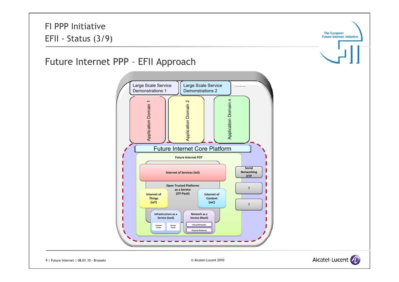

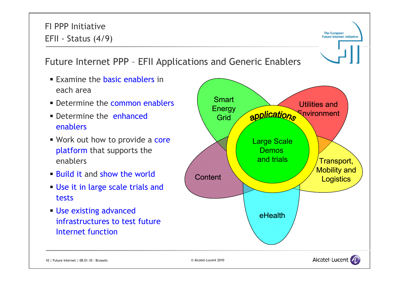#### FI PPP Initiative**The European** EFII - Status (4/9) **Future Internet Initiative** Future Internet PPP – EFII Applications and Generic Enablers **Examine the basic enablers in** each area**Smart • Determine the common enablers** Utilities and Energy applications Environment **Determine the enhanced** Gridenablers■ Work out how to provide a core Large Scale platform that supports the Demos <u>Pornoo</u><br>and trials enablersTransport, Mobility and **Build it and show the world Content Logistics**  Use it in large scale trials and tests Use existing advanced eHealthinfrastructures to test future Internet function

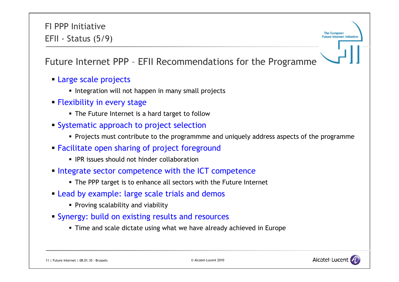FI PPP InitiativeEFII - Status (5/9)

The European **Future Internet Initiativ** 

Future Internet PPP – EFII Recommendations for the Programme

- Large scale projects
	- **Integration will not happen in many small projects**
- Flexibility in every stage
	- The Future Internet is a hard target to follow
- **Systematic approach to project selection** 
	- Projects must contribute to the programmme and uniquely address aspects of the programme
- Facilitate open sharing of project foreground
	- **IPR issues should not hinder collaboration**
- **Integrate sector competence with the ICT competence** 
	- The PPP target is to enhance all sectors with the Future Internet
- Lead by example: large scale trials and demos
	- **Proving scalability and viability**
- Synergy: build on existing results and resources
	- Time and scale dictate using what we have already achieved in Europe

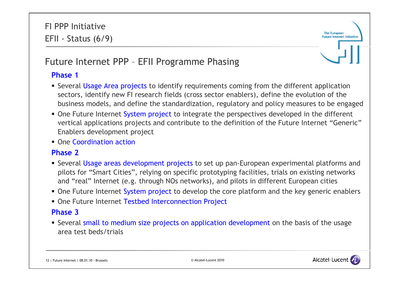

# Future Internet PPP – EFII Programme Phasing

### **Phase 1**

- **Several Usage Area projects to identify requirements coming from the different application** sectors, identify new FI research fields (cross sector enablers), define the evolution of the business models, and define the standardization, regulatory and policy measures to be engaged
- One Future Internet System project to integrate the perspectives developed in the different vertical applications projects and contribute to the definition of the Future Internet "Generic" Enablers development project
- **One Coordination action**

### **Phase 2**

- **Several Usage areas development projects to set up pan-European experimental platforms and** pilots for "Smart Cities", relying on specific prototyping facilities, trials on existing networks and "real" Internet (e.g. through NOs networks), and pilots in different European cities
- **One Future Internet System project to develop the core platform and the key generic enablers**
- **One Future Internet Testbed Interconnection Project**

### **Phase 3**

**Several small to medium size projects on application development on the basis of the usage** area test beds/trials

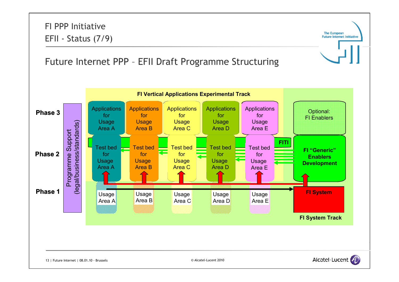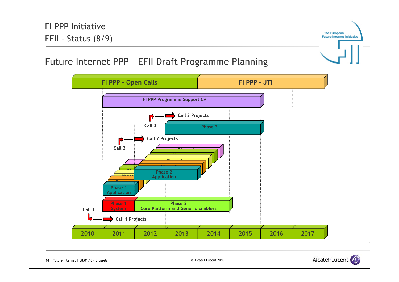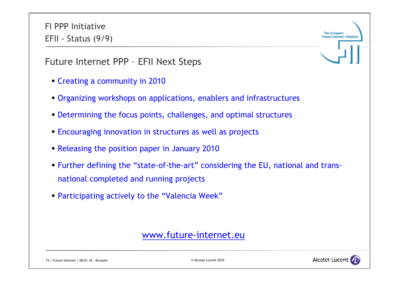FI PPP InitiativeEFII - Status (9/9)

Future Internet PPP – EFII Next Steps

- Creating a community in 2010
- Organizing workshops on applications, enablers and infrastructures
- Determining the focus points, challenges, and optimal structures
- **Encouraging innovation in structures as well as projects**
- Releasing the position paper in January 2010
- Further defining the "state-of-the-art" considering the EU, national and transnational completed and running projects
- Participating actively to the "Valencia Week"

## www.future-internet.eu

15 | Future Internet | 08.01.10 - Brussels © Alcatel-Lucent 2010



**The European Future Internet Initiativ**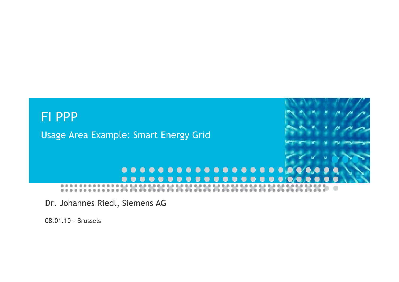

Dr. Johannes Riedl, Siemens AG

08.01.10 – Brussels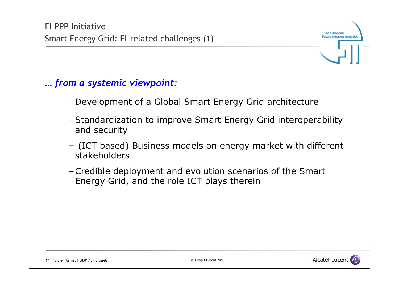

- –Development of a Global Smart Energy Grid architecture
- –Standardization to improve Smart Energy Grid interoperability and security
- (ICT based) Business models on energy market with different stakeholders
- –Credible deployment and evolution scenarios of the Smart Energy Grid, and the role ICT plays therein



The European **Future Internet Initiative**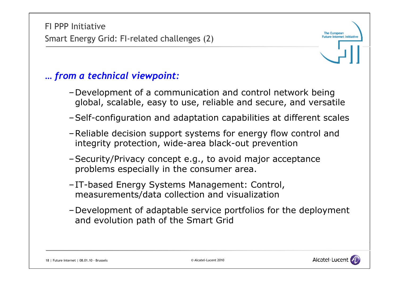# *… from a technical viewpoint:*

- –Development of a communication and control network being global, scalable, easy to use, reliable and secure, and versatile
- –Self-configuration and adaptation capabilities at different scales
- –Reliable decision support systems for energy flow control and integrity protection, wide-area black-out prevention
- –Security/Privacy concept e.g., to avoid major acceptance problems especially in the consumer area.
- –IT-based Energy Systems Management: Control, measurements/data collection and visualization
- –Development of adaptable service portfolios for the deployment and evolution path of the Smart Grid

18 | Future Internet | 08.01.10 - Brussels © Alcatel-Lucent 2010



The European **Futuro Internet Initiativ**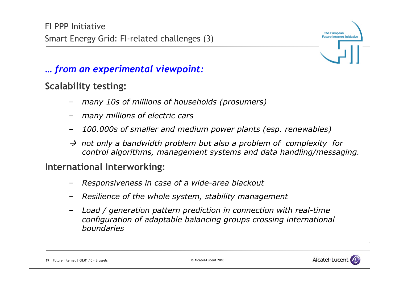FI PPP InitiativeSmart Energy Grid: FI-related challenges (3)

*… from an experimental viewpoint:*

## **Scalability testing:**

- –*many 10s of millions of households (prosumers)*
- *many millions of electric cars*
- –*100.000s of smaller and medium power plants (esp. renewables)*
- $\rightarrow$  not only a bandwidth problem but also a problem of complexity for *control algorithms, management systems and data handling/messaging.*

## **International Interworking:**

- *Responsiveness in case of a wide-area blackout*
- –*Resilience of the whole system, stability management*
- – *Load / generation pattern prediction in connection with real-time configuration of adaptable balancing groups crossing international boundaries*





The European **Future Internet Initiative**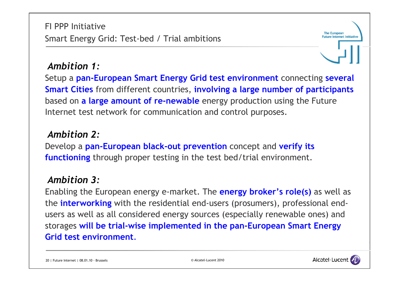## *Ambition 1:*

Setup a **pan-European Smart Energy Grid test environment** connecting **several Smart Cities** from different countries, **involving a large number of participants** based on **a large amount of re-newable** energy production using the Future Internet test network for communication and control purposes.

## *Ambition 2:*

Develop a **pan-European black-out prevention** concept and **verify its functioning** through proper testing in the test bed/trial environment.

## *Ambition 3:*

Enabling the European energy e-market. The **energy broker's role(s)** as well as the **interworking** with the residential end-users (prosumers), professional endusers as well as all considered energy sources (especially renewable ones) and storages **will be trial-wise implemented in the pan-European Smart Energy Grid test environment**.

20 | Future Internet | 08.01.10 - Brussels © Alcatel-Lucent 2010



The European **Future Internet Initiativ**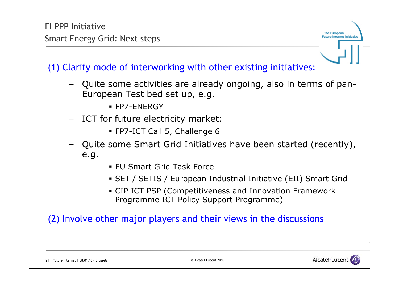FI PPP InitiativeSmart Energy Grid: Next steps

(1) Clarify mode of interworking with other existing initiatives:

- Quite some activities are already ongoing, also in terms of pan-European Test bed set up, e.g.
	- FP7-ENERGY
- ICT for future electricity market:
	- FP7-ICT Call 5, Challenge 6
- Quite some Smart Grid Initiatives have been started (recently), e.g.
	- EU Smart Grid Task Force
	- SET / SETIS / European Industrial Initiative (EII) Smart Grid
	- CIP ICT PSP (Competitiveness and Innovation Framework Programme ICT Policy Support Programme)

(2) Involve other major players and their views in the discussions



The European **Future Internet Initiativ**